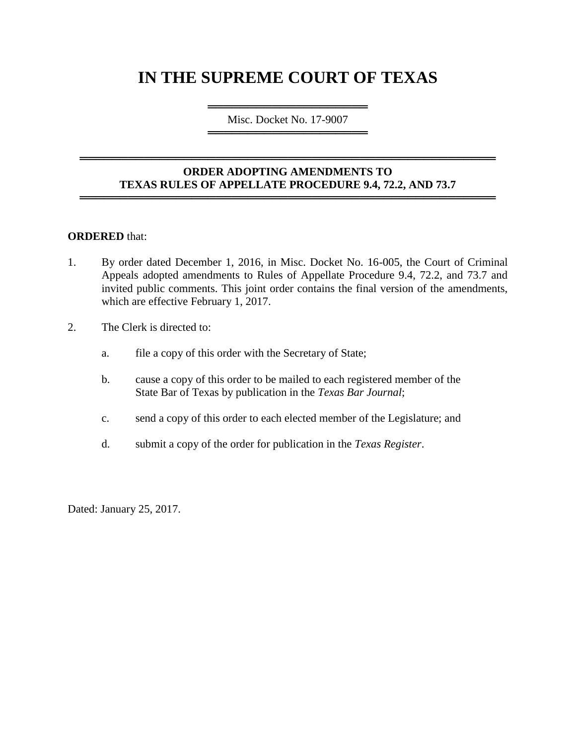# **IN THE SUPREME COURT OF TEXAS**

════════════════════════════════════ Misc. Docket No. 17-9007 ═════════════════════════════════════

### **ORDER ADOPTING AMENDMENTS TO TEXAS RULES OF APPELLATE PROCEDURE 9.4, 72.2, AND 73.7** ════════════════════════════════════════════════════

════════════════════════════════════════════════════

### **ORDERED** that:

- 1. By order dated December 1, 2016, in Misc. Docket No. 16-005, the Court of Criminal Appeals adopted amendments to Rules of Appellate Procedure 9.4, 72.2, and 73.7 and invited public comments. This joint order contains the final version of the amendments, which are effective February 1, 2017.
- 2. The Clerk is directed to:
	- a. file a copy of this order with the Secretary of State;
	- b. cause a copy of this order to be mailed to each registered member of the State Bar of Texas by publication in the *Texas Bar Journal*;
	- c. send a copy of this order to each elected member of the Legislature; and
	- d. submit a copy of the order for publication in the *Texas Register*.

Dated: January 25, 2017.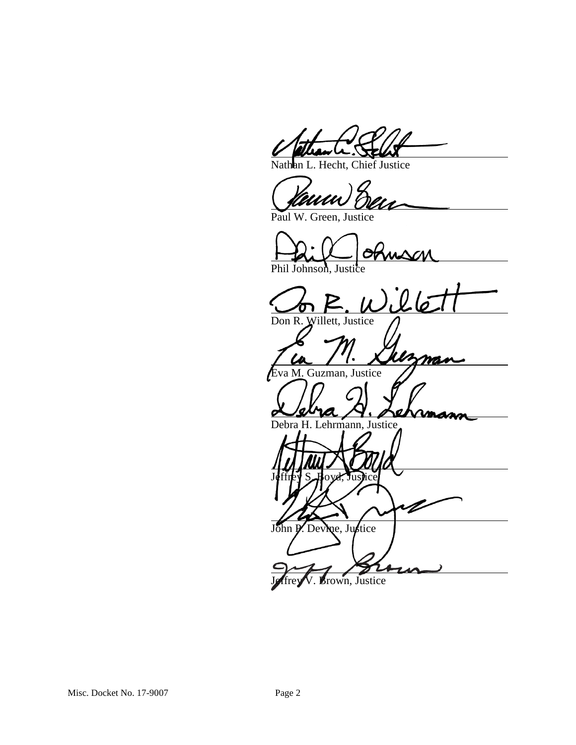Nathan L. Hecht, Chief Justice

Paul W. Green, Justice

Jeffrey S. Boyd, Justice

John P. Devine, Justice

Brown, Justice

Phil Johnson, Justice

 $26$ Don R. Willett, Justice p nan va M. Guzman, Justice

Debra H. Lehrmann, Justice

V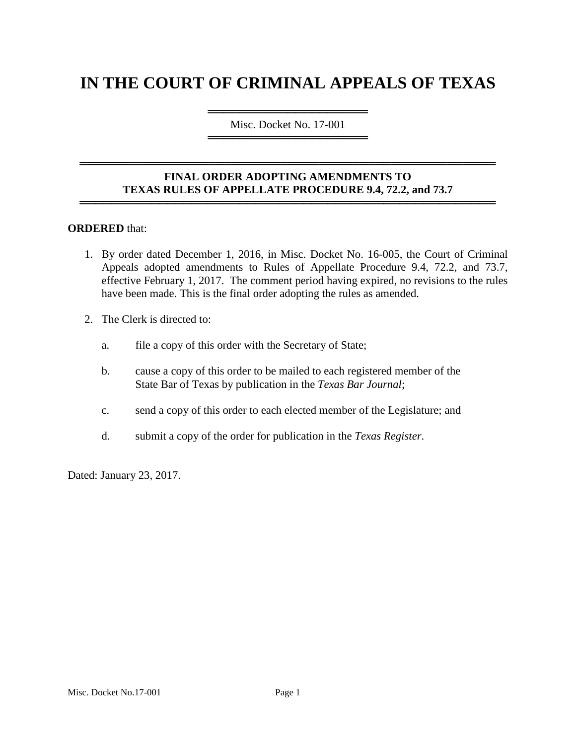# **IN THE COURT OF CRIMINAL APPEALS OF TEXAS**

════════════════════ Misc. Docket No. 17-001 ════════════════════

## **FINAL ORDER ADOPTING AMENDMENTS TO TEXAS RULES OF APPELLATE PROCEDURE 9.4, 72.2, and 73.7**

════════════════════════════════════════════════════

════════════════════════════════════════════════════

#### **ORDERED** that:

- 1. By order dated December 1, 2016, in Misc. Docket No. 16-005, the Court of Criminal Appeals adopted amendments to Rules of Appellate Procedure 9.4, 72.2, and 73.7, effective February 1, 2017. The comment period having expired, no revisions to the rules have been made. This is the final order adopting the rules as amended.
- 2. The Clerk is directed to:
	- a. file a copy of this order with the Secretary of State;
	- b. cause a copy of this order to be mailed to each registered member of the State Bar of Texas by publication in the *Texas Bar Journal*;
	- c. send a copy of this order to each elected member of the Legislature; and
	- d. submit a copy of the order for publication in the *Texas Register*.

Dated: January 23, 2017.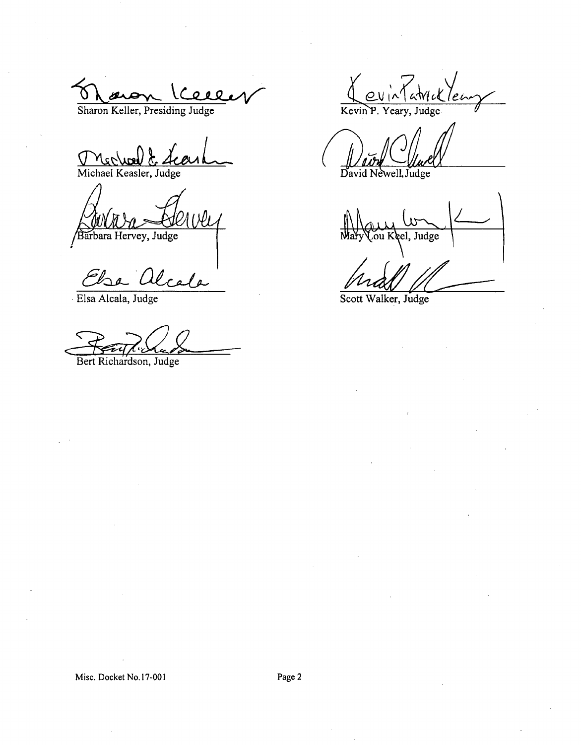Sharon Keller, Presiding Judge

Mechael & Merluel & Le

Barbara Hervey, Judge

Else alre  $\ell$ a

Elsa Alcala, Judge

Bert Richardson, Judge

Kevin P. Yeary, Judge

David Newell, Judge

Judge

Scott Walker, Judge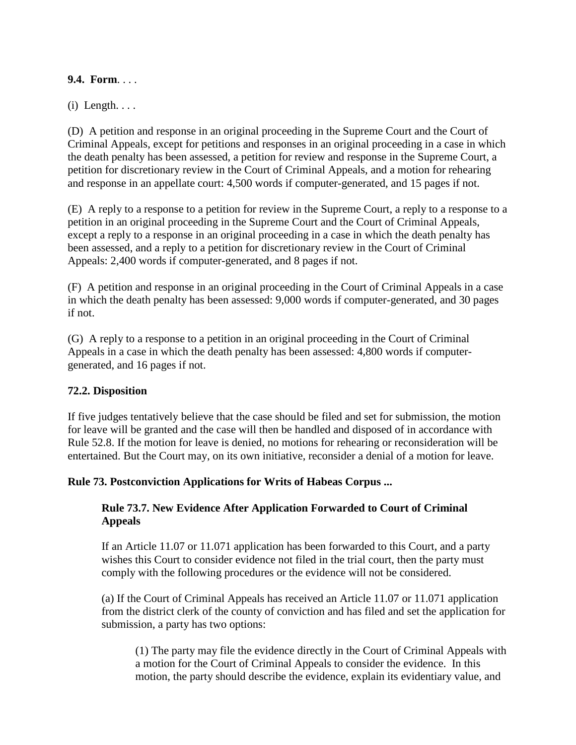## **9.4. Form**. . . .

 $(i)$  Length.  $\ldots$ 

(D) A petition and response in an original proceeding in the Supreme Court and the Court of Criminal Appeals, except for petitions and responses in an original proceeding in a case in which the death penalty has been assessed, a petition for review and response in the Supreme Court, a petition for discretionary review in the Court of Criminal Appeals, and a motion for rehearing and response in an appellate court: 4,500 words if computer-generated, and 15 pages if not.

(E) A reply to a response to a petition for review in the Supreme Court, a reply to a response to a petition in an original proceeding in the Supreme Court and the Court of Criminal Appeals, except a reply to a response in an original proceeding in a case in which the death penalty has been assessed, and a reply to a petition for discretionary review in the Court of Criminal Appeals: 2,400 words if computer-generated, and 8 pages if not.

(F) A petition and response in an original proceeding in the Court of Criminal Appeals in a case in which the death penalty has been assessed: 9,000 words if computer-generated, and 30 pages if not.

(G) A reply to a response to a petition in an original proceeding in the Court of Criminal Appeals in a case in which the death penalty has been assessed: 4,800 words if computergenerated, and 16 pages if not.

## **72.2. Disposition**

If five judges tentatively believe that the case should be filed and set for submission, the motion for leave will be granted and the case will then be handled and disposed of in accordance with Rule 52.8. If the motion for leave is denied, no motions for rehearing or reconsideration will be entertained. But the Court may, on its own initiative, reconsider a denial of a motion for leave.

## **Rule 73. Postconviction Applications for Writs of Habeas Corpus ...**

## **Rule 73.7. New Evidence After Application Forwarded to Court of Criminal Appeals**

If an Article 11.07 or 11.071 application has been forwarded to this Court, and a party wishes this Court to consider evidence not filed in the trial court, then the party must comply with the following procedures or the evidence will not be considered.

(a) If the Court of Criminal Appeals has received an Article 11.07 or 11.071 application from the district clerk of the county of conviction and has filed and set the application for submission, a party has two options:

(1) The party may file the evidence directly in the Court of Criminal Appeals with a motion for the Court of Criminal Appeals to consider the evidence. In this motion, the party should describe the evidence, explain its evidentiary value, and